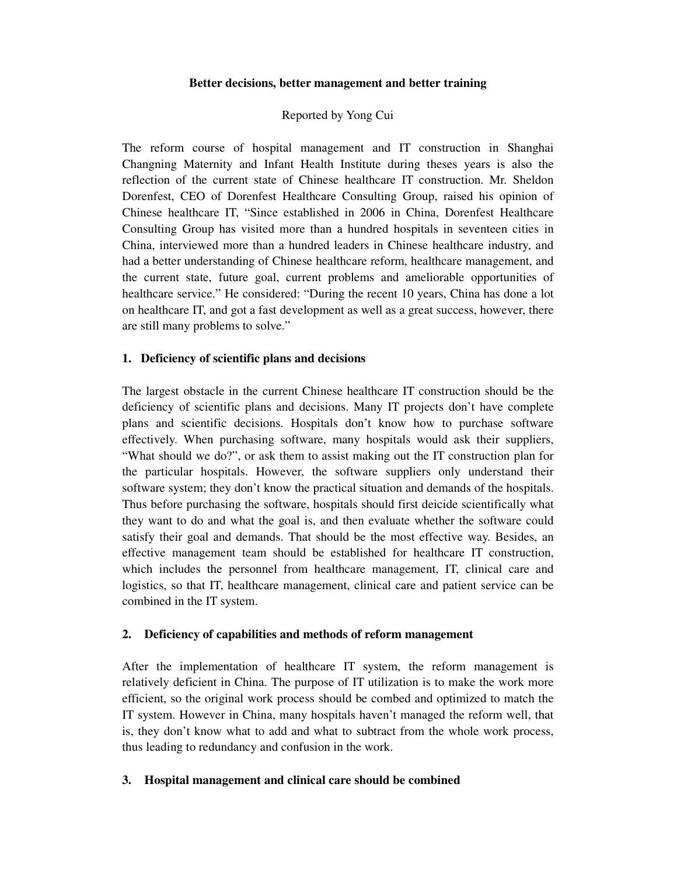## **Better decisions, better management and better training**

# Reported by Yong Cui

The reform course of hospital management and IT construction in Shanghai Changning Maternity and Infant Health Institute during theses years is also the reflection of the current state of Chinese healthcare IT construction. Mr. Sheldon Dorenfest, CEO of Dorenfest Healthcare Consulting Group, raised his opinion of Chinese healthcare IT, "Since established in 2006 in China, Dorenfest Healthcare Consulting Group has visited more than a hundred hospitals in seventeen cities in China, interviewed more than a hundred leaders in Chinese healthcare industry, and had a better understanding of Chinese healthcare reform, healthcare management, and the current state, future goal, current problems and ameliorable opportunities of healthcare service." He considered: "During the recent 10 years, China has done a lot on healthcare IT, and got a fast development as well as a great success, however, there are still many problems to solve."

## **1. Deficiency of scientific plans and decisions**

The largest obstacle in the current Chinese healthcare IT construction should be the deficiency of scientific plans and decisions. Many IT projects don't have complete plans and scientific decisions. Hospitals don't know how to purchase software effectively. When purchasing software, many hospitals would ask their suppliers, "What should we do?", or ask them to assist making out the IT construction plan for the particular hospitals. However, the software suppliers only understand their software system; they don't know the practical situation and demands of the hospitals. Thus before purchasing the software, hospitals should first deicide scientifically what they want to do and what the goal is, and then evaluate whether the software could satisfy their goal and demands. That should be the most effective way. Besides, an effective management team should be established for healthcare IT construction, which includes the personnel from healthcare management, IT, clinical care and logistics, so that IT, healthcare management, clinical care and patient service can be combined in the IT system.

#### **2. Deficiency of capabilities and methods of reform management**

After the implementation of healthcare IT system, the reform management is relatively deficient in China. The purpose of IT utilization is to make the work more efficient, so the original work process should be combed and optimized to match the IT system. However in China, many hospitals haven't managed the reform well, that is, they don't know what to add and what to subtract from the whole work process, thus leading to redundancy and confusion in the work.

#### **3. Hospital management and clinical care should be combined**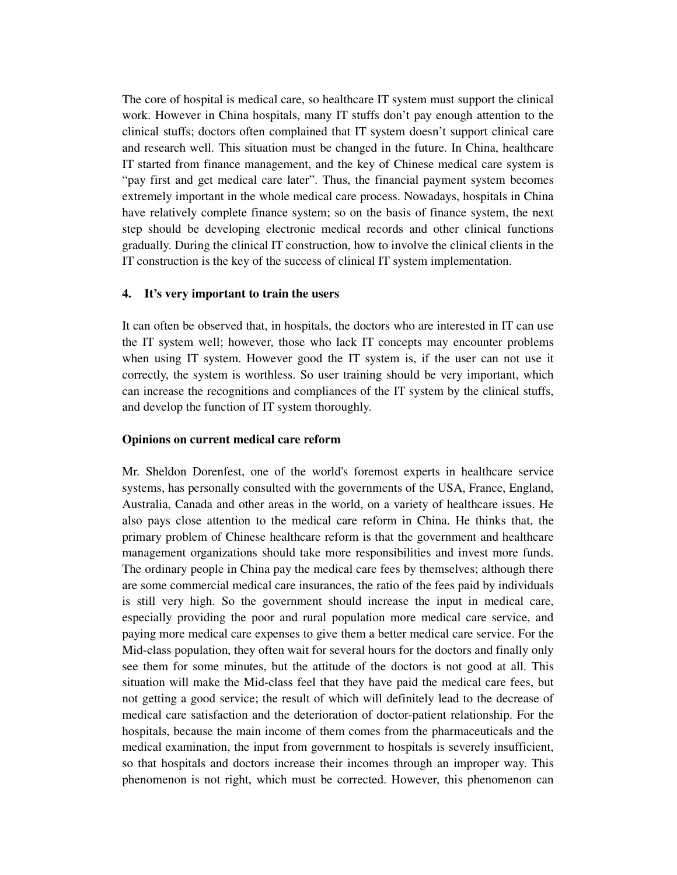The core of hospital is medical care, so healthcare IT system must support the clinical work. However in China hospitals, many IT stuffs don't pay enough attention to the clinical stuffs; doctors often complained that IT system doesn't support clinical care and research well. This situation must be changed in the future. In China, healthcare IT started from finance management, and the key of Chinese medical care system is "pay first and get medical care later". Thus, the financial payment system becomes extremely important in the whole medical care process. Nowadays, hospitals in China have relatively complete finance system; so on the basis of finance system, the next step should be developing electronic medical records and other clinical functions gradually. During the clinical IT construction, how to involve the clinical clients in the IT construction is the key of the success of clinical IT system implementation.

### **4. It's very important to train the users**

It can often be observed that, in hospitals, the doctors who are interested in IT can use the IT system well; however, those who lack IT concepts may encounter problems when using IT system. However good the IT system is, if the user can not use it correctly, the system is worthless. So user training should be very important, which can increase the recognitions and compliances of the IT system by the clinical stuffs, and develop the function of IT system thoroughly.

#### **Opinions on current medical care reform**

Mr. Sheldon Dorenfest, one of the world's foremost experts in healthcare service systems, has personally consulted with the governments of the USA, France, England, Australia, Canada and other areas in the world, on a variety of healthcare issues. He also pays close attention to the medical care reform in China. He thinks that, the primary problem of Chinese healthcare reform is that the government and healthcare management organizations should take more responsibilities and invest more funds. The ordinary people in China pay the medical care fees by themselves; although there are some commercial medical care insurances, the ratio of the fees paid by individuals is still very high. So the government should increase the input in medical care, especially providing the poor and rural population more medical care service, and paying more medical care expenses to give them a better medical care service. For the Mid-class population, they often wait for several hours for the doctors and finally only see them for some minutes, but the attitude of the doctors is not good at all. This situation will make the Mid-class feel that they have paid the medical care fees, but not getting a good service; the result of which will definitely lead to the decrease of medical care satisfaction and the deterioration of doctor-patient relationship. For the hospitals, because the main income of them comes from the pharmaceuticals and the medical examination, the input from government to hospitals is severely insufficient, so that hospitals and doctors increase their incomes through an improper way. This phenomenon is not right, which must be corrected. However, this phenomenon can